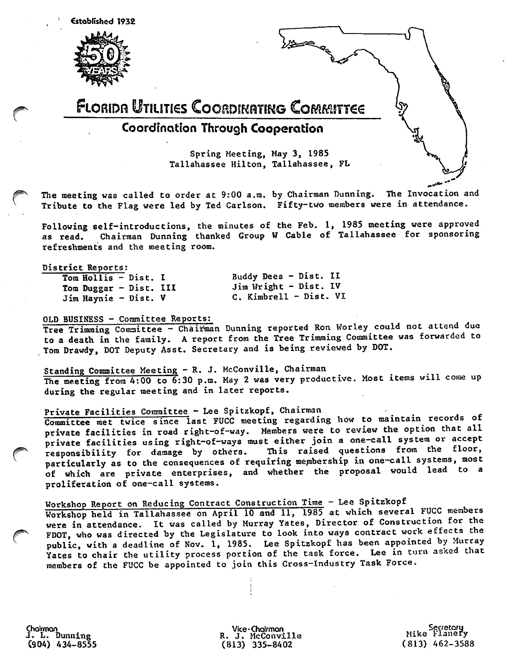Established 1932



r



The meeting was called to order at 9:00 a.m. by Chairman Dunning. The Invocation and Tribute to the Flag were led by Ted Carlson. Fifty-two members were in attendance.

Following self—introductions, the minutes of the Feb. 1, 1985 meeting were approved as read. Chairman Dunning thanked Group W Cable of Tallahassee for sponsoring refreshments and the meeting room.

#### District Reports:

Tom Hollis - Dist. I Tom Duggar - Dist. Ill Jim Haynie - Dist. V

Buddy Dees - Dist. II Jim Wright - Dist. IV C. Kimbrell - Dist. VI

### OLD BUSINESS - Committee Reports:

Tree Trimming Committee - Chairman Dunning reported Ron Worley could not attend due to a death in the family. A report from the Tree Trimming Committee was forwarded to Tom Drawdy, DOT Deputy Asst. Secretary and is being reviewed by DOT.

Standing Committee Meeting — R. J. McConville, Chairman The meeting from 4:00 to 6:30 p.m. May 2 was very productive. Most items will come up during the regular meeting and in later reports.

# Private Facilities Committee — Lee Spitzkopf, Chairman \_ ^

Committee met twice since last FUCC meeting regarding how to maintain records of private facilities in road right-of-way. Members were to review the option that all private facilities using right-of-ways must either join a one-call system or accept<br>responsibility for damage by others. This raised questions from the floor, responsibility for damage by others. This raised questions from the floor, particularly as to the consequences of requiring membership in one-call systems, most of which are private enterprises, and whether the proposal would lead to a proliferation of one-call systems.

# Workshop Report on Reducing Contract Construction Time - Lee Spitzkopf

Workshop held in Tallahassee on April 10 and 11, 1985 at which several FUCC members were in attendance. It was called by Murray Yates, Director of Construction for the FDOT, who was directed by the Legislature to look into ways contract work effects the public, with a deadline of Nov. 1, 1985. Lee Spitzkopf has been appointed by Murray Yates to chair the utility process portion of the task force. Lee in turn asked that members of the FUCC be appointed to join this Cross-Industry Task Force.

Choirmon J. L. Dunning  $(904)$  434-8555

r

Vice-Choirmon R. J. McConville (813) 335-8402

Secretory Mike Flanery (813) 462-3588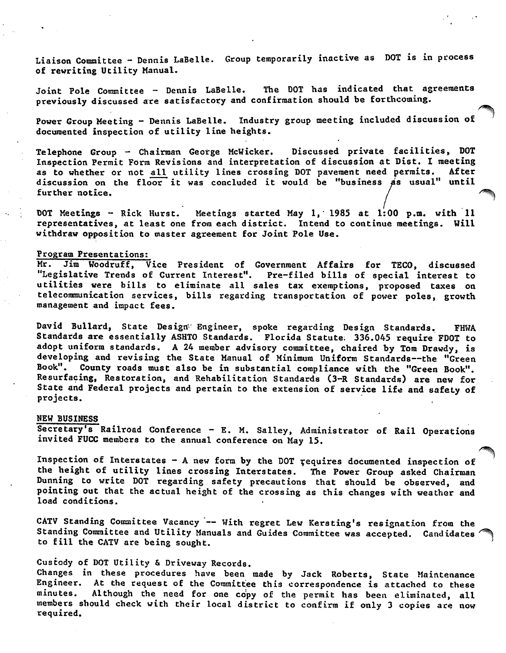Liaison Comnittee - Dennis LaBelle. Group temporarily inactive as DOT is in process of rewriting Utility Manual.

Joint Pole Committee - Dennis LaBelle. The DOT has indicated that agreements previously discussed are satisfactory and confirmation should be forthcoming.

Power Group Meeting - Dennis LaBelle. Industry group meeting included discussion of documented inspection of utility line heights.

Telephone Group - Chairman George McWicker. Discussed private facilities, DOT Inspection Permit Form Revisions and interpretation of discussion at Dist. I meeting as to whether or not all utility lines crossing DOT pavement need permits. discussion on the floor it was concluded it would be "business as usual" until<br>further notice.

DOT Meetings - Rick Hurst. Meetings started May 1, 1985 at 1:00 p.m. with 11 representatives, at least one from each district. Intend to continue meetings. Will withdraw opposition to master agreement for Joint Pole Use.

#### Program Presentations:

Mr. Jim Woodruff, Vice President of Government Affairs for TECO, discussed "Legislative Trends of Current Interest". Pre-filed bills of special interest to utilities were bills to eliminate all sales tax exemptions, proposed taxes on telecommunication services, bills regarding transportation of power poles, growth management and impact fees.

David Bullard, State Design'' Engineer, spoke regarding Design Standards. FHWA Standards are essentially ASHTO Standards. Florida Statute; 336.045 require FDOT to adopt uniform standards. A 24 member advisory committee, chaired by Tom Drawdy, is developing and revising the State Manual of Minimum Uniform Standards—the "Green Book". County roads must also be in substantial compliance with the "Green Book". Resurfacing, Restoration, and Rehabilitation Standards (3-R Standards) are new for State and Federal projects and pertain to the extension of service life and safety of projects.

#### NEW BUSINESS

Secretary's Railroad Conference - E. M. Salley, Administrator of Rail Operations invited FUCC members to the annual conference on May 15.

Inspection of Interstates  $-$  A new form by the DOT requires documented inspection of the height of utility lines crossing Interstates. The Power Group asked Chairman Dunning to write DOT regarding safety precautions that should be observed, and pointing out that the actual height of the crossing as this changes with weather and load conditions.

CATV Standing Committee Vacancy — With regret Lew Kersting's resignation from the Standing Committee and Utility Manuals and Guides Committee was accepted. Candidates to fill the CATV are being sought.

# Custody of DOT Utility & Driveway Records.

Changes in these procedures have been made by Jack Roberts, State Maintenance Engineer. At the request of the Committee this correspondence is attached to these minutes. Although the need for one copy of the permit has been eliminated, all members should check with their local district to confirm if only 3 copies are now required.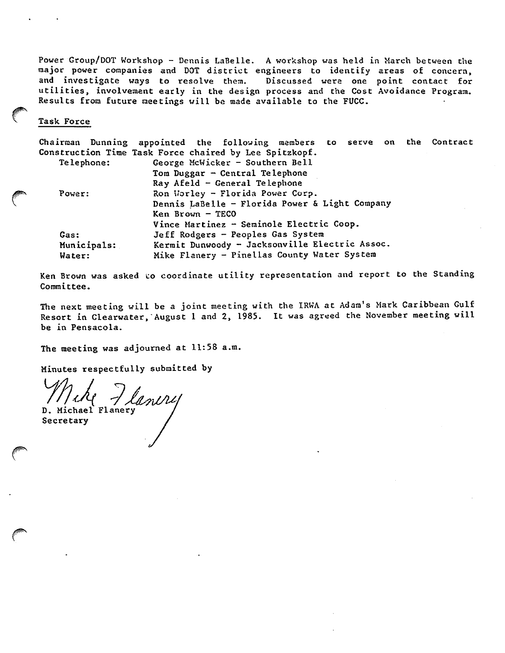Power Group/DOT Workshop - Dennis LaBelle. A workshop was held in March between the raajor power companies and DOT district engineers to identify areas of concern, and investigate ways to resolve them. Discussed were one point contact for utilities, involvement early in the design process and the Cost Avoidance Program. Results from future meetings will be made available to the FUCC.

#### Task Force

Chairman Dunning appointed the following members Construction Time Task Force chaired by Lee Spitzkopf. on the Contract

| Telephone:  | George McWicker - Southern Bell                |
|-------------|------------------------------------------------|
|             | Tom Duggar $-$ Central Telephone               |
|             | Ray Afeld $-$ General Telephone                |
| Power:      | Ron Worley - Florida Power Corp.               |
|             | Dennis LaBelle - Florida Power & Light Company |
|             | $Ken$ Brown $-$ TECO                           |
|             | Vince Martinez - Seminole Electric Coop.       |
| Gas:        | Jeff Rodgers - Peoples Gas System              |
| Municipals: | Kermit Dunwoody - Jacksonville Electric Assoc. |
| Water:      | Mike Flanery - Pinellas County Water System    |

Ken Brown was asked to coordinate utility representation and report to the Standing Committee.

The next meeting will be a joint meeting with the IRWA at Adam's Mark Caribbean Gulf Resort in Clearwater, August 1 and 2, 1985. It was agreed the November meeting will be in Pensacola.

The meeting was adjourned at 11:58 a.m.

Minutes respectfully submitted by

Wehy Jlanery Secretary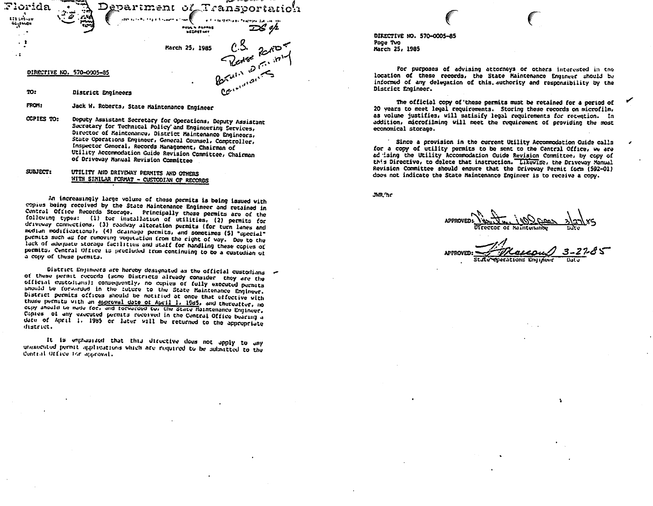

Jack W. Roberts, State Maintenance Engineer

CCPIES TO: Deputy Assistant Secretary for Operations, Deputy Assistant Secretary for Technical Policy and Engineering Services, Director of Maintenance, District Maintenance Engineers, State Operations Engineer, General Counsel, Compiroller, Inspector General, Records Management, Chairman of Utility Accommodation Guide Revision Committee, Chairman of Driveway Manual Revision Committee

#### UTILITY AND DRIVEWAY PERMITS AND OTHERS SULVECT: WITH SIMILAR FORMAT - CUSTODIAN OF RECORDS

An increasingly large volume of these permits is being issued with copius being received by the State Maintenance Engineer and retained in Central Office Records Storage. Principally these permits are of the following types: (1) for installation of utilities, (2) permits for driveway connections. (3) readway alteration permits (for turn lanes and mediun modifications), (4) desinage permits, and sometimes (5) "special" purmits such as for removing vegetation from the right of way. Due to the lack of adequate storage facilities and staff for handling these copies of permits. Central Office is precluded from continuing to be a custodian of a copy of these permits.

District Empineers are hereby designated as the official custodians of of these permit records (some Districts already consider they are the official customians); consequently, no copies of fully executed permits should be forwarded in the future to the State Maintenance Engineer. District permits offices should be notified at once that effective with those permits with an approval date of April 1, 1985, and thereafter, no copy ahould be made for, and forwarded to, the State Maintenance Engineer. Conius of any executed permits received in the Contral Office bearing a date of April 1. 1985 or later will be returned to the appropriate district.

It is emphasized that this directive does not apply to any unexecuted permit applications which are required to be aubmitted to the Control Office for approval.

DIRECTIVE NO. 570-0005-85 Page Tvo March 25, 1985

For purposes of advising attorneys or others interested in the location of these records, the State Maintenance Engineer should be informed of any delegation of this authority and responsibility by the District Engineer.

The official copy of these permits must be retained for a period of 20 vears to meet legal requirements. Storing these records on microfilm, as volume justifies, will satisify legal requirements for retention. In addition, microfilming will meet the requirement of providing the most economical storage.

Since a provision in the current Utility Accemmodation Guide calls for a copy of utility permits to be sent to the Central Office, we are ad ising the Utility Accommodation Guide Revision Committee, by copy of this Directive, to delete that instruction. Likewise, the Driveway Manual Revision Committee should ensure that the Driveway Permit form (592-01) does not indicate the State Maintenance Engineer is to receive a copy.

JWR.'hr

**APPROVED:** ecerations Engineer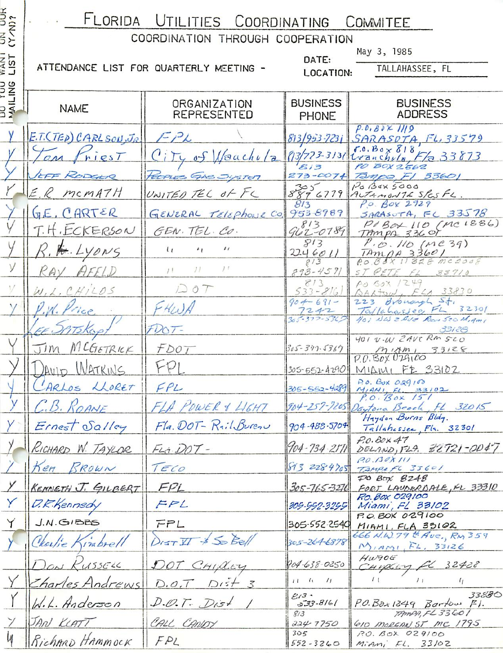| IIIA | $U$ TII  | LITIES COORDINATING    | $\cup$ DMM $\cup$<br>$\mathbf{r}$<br>$\overline{a}$ |
|------|----------|------------------------|-----------------------------------------------------|
|      | JINATION | THROUGH<br>COOPFRATION |                                                     |

| UN UUR<br>(Y/N)?         | FLORIDA UTILITIES COORDINATING COMMITEE |                                         |                            |                                                                  |  |  |
|--------------------------|-----------------------------------------|-----------------------------------------|----------------------------|------------------------------------------------------------------|--|--|
|                          |                                         | COORDINATION THROUGH COOPERATION        |                            | May 3, 1985                                                      |  |  |
| <b>TRANT</b><br>LIST     |                                         | ATTENDANCE LIST FOR QUARTERLY MEETING - | DATE:<br>LOCATION:         | TALLAHASSEE, FL                                                  |  |  |
|                          |                                         |                                         |                            |                                                                  |  |  |
| <b>DU TUU</b><br>MAILING | <b>NAME</b>                             | ORGANIZATION                            | <b>BUSINESS</b>            | <b>BUSINESS</b>                                                  |  |  |
|                          |                                         | REPRESENTED                             | PHONE                      | <b>ADDRESS</b>                                                   |  |  |
|                          | E.T. (TED) CARLSON, JR.                 | $I-PL$                                  | 813/953-7231               | $P.0.80\times 1119$<br>$SARASOTA$ $FL$ , 33579                   |  |  |
|                          | riesT<br>$\rho_M$                       | City of Neachula                        | $(13/723 - 313)$           | $r.0.$ Bo $\times 818$<br>Wanchula, F/a 33873                    |  |  |
|                          | EFF RODGER                              | POPLES GAS JUSTER                       | 813<br>$273 - 0074$        | PO BOX 2562<br>Tampa, F1 33601                                   |  |  |
|                          | E.R. MCMATH                             | UNITED TEL OF FL                        |                            | $P0$ $A0$ $5000$<br>889 6779 AUTAMONTE SPESFL.                   |  |  |
|                          | GE, CARTER                              | GENERAL TELEPHONE CO.                   | 813<br>953-8989            | P.O. Box 2929<br>$SARS$ <sub>o</sub> $TA$ , $FC$ 33578           |  |  |
|                          | T.H. ECKERSON                           | GEN. TEL. CO.                           | $962 - 0789$               | PIBOX 110 (MC1886)<br>TAMPA 336 OT                               |  |  |
|                          | P. H. LYONS                             | $\iota$<br>$\iota$<br>41                | 813<br>2246011             | P.00.110 (Me39)                                                  |  |  |
| $\vee$                   | FELD<br>KAY                             | 1 <sup>t</sup><br>11<br>11              | 813<br>$893 - 4591$        | $\frac{7Am\rho A33601}{R0.88811828 mac2008}$<br>ST PETE FL 33710 |  |  |
| V                        | W, L, CH/LOS                            | DOT                                     | 813<br>$533 - 816$         | PO SOX 1249<br>QARTUW, FLA 33830                                 |  |  |
|                          | .W. Price                               | FHWA                                    | $90 - 691 -$               | 223 Bronard St.                                                  |  |  |
|                          |                                         |                                         | 1242<br>$305 - 377 - 5365$ | Tallahassee FL 32301<br>401 NW ZAVE Rom 520 Migmi                |  |  |
|                          | TIKOP                                   | $FQOT-$                                 |                            | 33/28<br>401 V-W ZAVERM 520                                      |  |  |
|                          | MCGETRICK<br>$\overline{J}$ <i>m</i>    | FDOT                                    | 305-377-5367               | $M_{14m_1}$ 33128                                                |  |  |
|                          | DAVID WATKINS                           | FPI                                     |                            | $305-552-4290$ MIAMI FZ 33102<br>$P. 0.$ Box $0.29100$           |  |  |
|                          | LARLOS LLORET                           | FPL                                     | $305 - 552 - 4289$         | $M_1$ ANI, FL. 33102                                             |  |  |
|                          | C.B. ROANE                              | FLA POWER & LIGHT                       |                            | 904-257-7205 Daytona Beach, FL 32015<br>Haydon Burns Bldg.       |  |  |
|                          | Ernest Salley                           | Fla. DOT-RailBureau                     | 904-488-5704               | Tallahossee, Fla. 32301                                          |  |  |
|                          | RICHARD W. TAYLOR                       | FLA. DOT-                               | $904 - 734 - 2171$         | $P.0.60 \times 47$<br>DELAND, FLA. $32721 - 0047$                |  |  |
|                          | Ken BROWN                               | TECO                                    | 813 2284705                | P.0.030X111<br>TAMPAFC 35601                                     |  |  |
|                          | <b>KENNETH J. GILBERT</b>               | FPL                                     | 305-765-3276               | $70$ Box $8248$<br>FORT LAUDRRDALE, FL 33310                     |  |  |
|                          | D.K.Kennedy                             | FPL                                     | 305-552-3255               | P.O. Box 029100<br>Miami, FL 33102                               |  |  |
| Y                        | J.N.GIBBS                               | FPL                                     | 305-552-2540               | P.O. BOX 029100<br>MIMI, FLA 33102                               |  |  |
|                          | Charlie Kimbrell                        | DISTIT & So Bell                        | $305 - 264 - 6878$         | 666 N.W.79 th Aue, RM 359<br>$M_{1.4M1}$ , $F_{4.33126}$         |  |  |
|                          | DON KUSSELL                             | DOT CHILLEY                             | 904-638-0250               | $Hwqo$ G<br>CHIPCOY FL 32428                                     |  |  |
|                          | Charles Andrews                         | $D.O.T$ $D r 5f 3$                      | $11 - 6 - 71$              | 1 <sub>1</sub><br>$\prime$ $\prime$<br>$\mathfrak{c}_I$          |  |  |
|                          | W.L. Anderson                           | D. O. T. Dist                           | 2/3<br>$333 - 8161$        | 33830<br>$P.O.Box1249$ Bartow $F/I$ .                            |  |  |
|                          | JAN KLATT                               | CALL CANDY                              | 8/3<br>224.7750            | TAMPA, FLS3601<br>GIO MORGAN ST MC 1795                          |  |  |
|                          | RichARD HAMMOCK                         | FPL                                     | 305<br>$552 - 3260$        | 120.80x029100<br>$M_iAn_i$ $FL. 33102$                           |  |  |
|                          |                                         |                                         |                            |                                                                  |  |  |